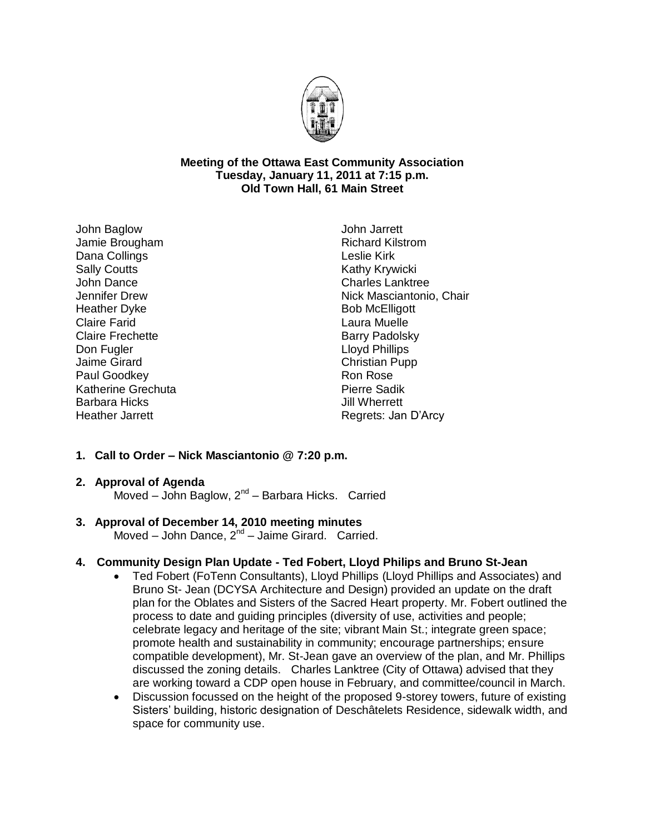

### **Meeting of the Ottawa East Community Association Tuesday, January 11, 2011 at 7:15 p.m. Old Town Hall, 61 Main Street**

John Baglow Jamie Brougham Dana Collings Sally Coutts John Dance Jennifer Drew Heather Dyke Claire Farid Claire Frechette Don Fugler Jaime Girard Paul Goodkey Katherine Grechuta Barbara Hicks Heather Jarrett

John Jarrett Richard Kilstrom Leslie Kirk Kathy Krywicki Charles Lanktree Nick Masciantonio, Chair Bob McElligott Laura Muelle Barry Padolsky Lloyd Phillips Christian Pupp Ron Rose Pierre Sadik Jill Wherrett Regrets: Jan D'Arcy

# **1. Call to Order – Nick Masciantonio @ 7:20 p.m.**

#### **2. Approval of Agenda**

Moved - John Baglow, 2<sup>nd</sup> - Barbara Hicks. Carried

## **3. Approval of December 14, 2010 meeting minutes**

Moved - John Dance, 2<sup>nd</sup> - Jaime Girard. Carried.

## **4. Community Design Plan Update - Ted Fobert, Lloyd Philips and Bruno St-Jean**

- Ted Fobert (FoTenn Consultants), Lloyd Phillips (Lloyd Phillips and Associates) and Bruno St- Jean (DCYSA Architecture and Design) provided an update on the draft plan for the Oblates and Sisters of the Sacred Heart property. Mr. Fobert outlined the process to date and guiding principles (diversity of use, activities and people; celebrate legacy and heritage of the site; vibrant Main St.; integrate green space; promote health and sustainability in community; encourage partnerships; ensure compatible development), Mr. St-Jean gave an overview of the plan, and Mr. Phillips discussed the zoning details. Charles Lanktree (City of Ottawa) advised that they are working toward a CDP open house in February, and committee/council in March.
- Discussion focussed on the height of the proposed 9-storey towers, future of existing Sisters' building, historic designation of Deschâtelets Residence, sidewalk width, and space for community use.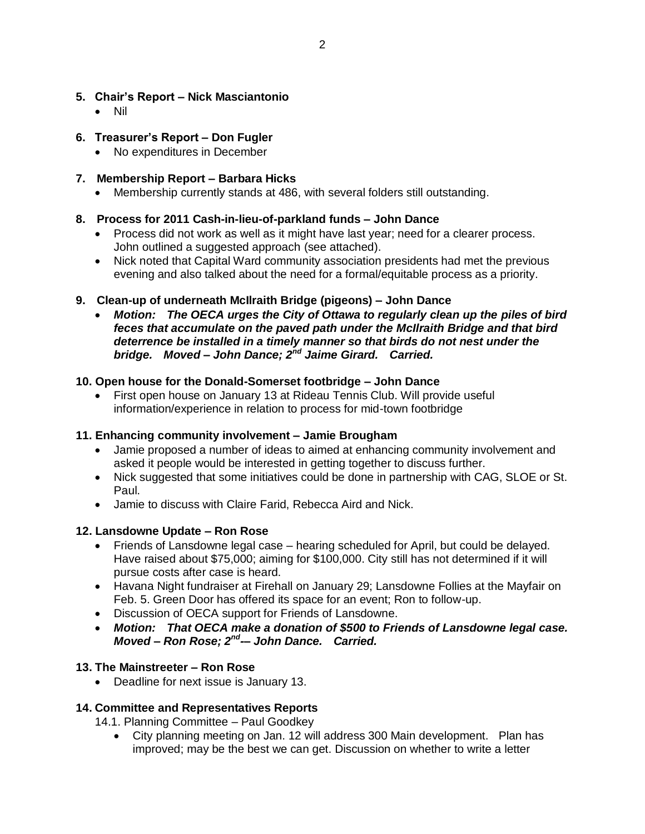## **5. Chair's Report – Nick Masciantonio**

Nil

## **6. Treasurer's Report – Don Fugler**

• No expenditures in December

## **7. Membership Report – Barbara Hicks**

Membership currently stands at 486, with several folders still outstanding.

## **8. Process for 2011 Cash-in-lieu-of-parkland funds – John Dance**

- Process did not work as well as it might have last year; need for a clearer process. John outlined a suggested approach (see attached).
- Nick noted that Capital Ward community association presidents had met the previous evening and also talked about the need for a formal/equitable process as a priority.

## **9. Clean-up of underneath McIlraith Bridge (pigeons) – John Dance**

 *Motion: The OECA urges the City of Ottawa to regularly clean up the piles of bird feces that accumulate on the paved path under the McIlraith Bridge and that bird deterrence be installed in a timely manner so that birds do not nest under the bridge. Moved – John Dance; 2nd Jaime Girard. Carried.*

## **10. Open house for the Donald-Somerset footbridge – John Dance**

 First open house on January 13 at Rideau Tennis Club. Will provide useful information/experience in relation to process for mid-town footbridge

## **11. Enhancing community involvement – Jamie Brougham**

- Jamie proposed a number of ideas to aimed at enhancing community involvement and asked it people would be interested in getting together to discuss further.
- Nick suggested that some initiatives could be done in partnership with CAG, SLOE or St. Paul.
- Jamie to discuss with Claire Farid, Rebecca Aird and Nick.

## **12. Lansdowne Update – Ron Rose**

- Friends of Lansdowne legal case hearing scheduled for April, but could be delayed. Have raised about \$75,000; aiming for \$100,000. City still has not determined if it will pursue costs after case is heard.
- Havana Night fundraiser at Firehall on January 29; Lansdowne Follies at the Mayfair on Feb. 5. Green Door has offered its space for an event; Ron to follow-up.
- Discussion of OECA support for Friends of Lansdowne.
- *Motion: That OECA make a donation of \$500 to Friends of Lansdowne legal case. Moved – Ron Rose; 2nd -– John Dance. Carried.*

## **13. The Mainstreeter – Ron Rose**

Deadline for next issue is January 13.

# **14. Committee and Representatives Reports**

14.1. Planning Committee – Paul Goodkey

 City planning meeting on Jan. 12 will address 300 Main development. Plan has improved; may be the best we can get. Discussion on whether to write a letter